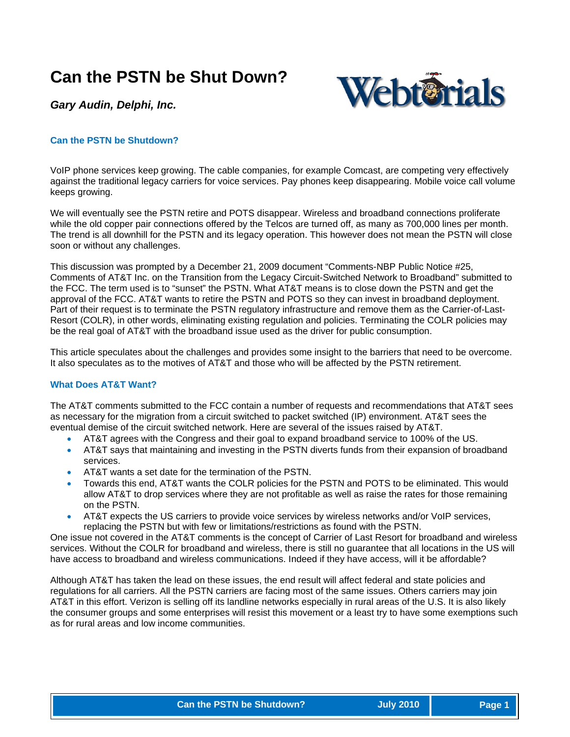# **Can the PSTN be Shut Down?**



*Gary Audin, Delphi, Inc.* 

# **Can the PSTN be Shutdown?**

VoIP phone services keep growing. The cable companies, for example Comcast, are competing very effectively against the traditional legacy carriers for voice services. Pay phones keep disappearing. Mobile voice call volume keeps growing.

We will eventually see the PSTN retire and POTS disappear. Wireless and broadband connections proliferate while the old copper pair connections offered by the Telcos are turned off, as many as 700,000 lines per month. The trend is all downhill for the PSTN and its legacy operation. This however does not mean the PSTN will close soon or without any challenges.

This discussion was prompted by a December 21, 2009 document "Comments-NBP Public Notice #25, Comments of AT&T Inc. on the Transition from the Legacy Circuit-Switched Network to Broadband" submitted to the FCC. The term used is to "sunset" the PSTN. What AT&T means is to close down the PSTN and get the approval of the FCC. AT&T wants to retire the PSTN and POTS so they can invest in broadband deployment. Part of their request is to terminate the PSTN regulatory infrastructure and remove them as the Carrier-of-Last-Resort (COLR), in other words, eliminating existing regulation and policies. Terminating the COLR policies may be the real goal of AT&T with the broadband issue used as the driver for public consumption.

This article speculates about the challenges and provides some insight to the barriers that need to be overcome. It also speculates as to the motives of AT&T and those who will be affected by the PSTN retirement.

# **What Does AT&T Want?**

The AT&T comments submitted to the FCC contain a number of requests and recommendations that AT&T sees as necessary for the migration from a circuit switched to packet switched (IP) environment. AT&T sees the eventual demise of the circuit switched network. Here are several of the issues raised by AT&T.

- AT&T agrees with the Congress and their goal to expand broadband service to 100% of the US.
- AT&T says that maintaining and investing in the PSTN diverts funds from their expansion of broadband services.
- AT&T wants a set date for the termination of the PSTN.
- Towards this end, AT&T wants the COLR policies for the PSTN and POTS to be eliminated. This would allow AT&T to drop services where they are not profitable as well as raise the rates for those remaining on the PSTN.
- AT&T expects the US carriers to provide voice services by wireless networks and/or VoIP services, replacing the PSTN but with few or limitations/restrictions as found with the PSTN.

One issue not covered in the AT&T comments is the concept of Carrier of Last Resort for broadband and wireless services. Without the COLR for broadband and wireless, there is still no guarantee that all locations in the US will have access to broadband and wireless communications. Indeed if they have access, will it be affordable?

Although AT&T has taken the lead on these issues, the end result will affect federal and state policies and regulations for all carriers. All the PSTN carriers are facing most of the same issues. Others carriers may join AT&T in this effort. Verizon is selling off its landline networks especially in rural areas of the U.S. It is also likely the consumer groups and some enterprises will resist this movement or a least try to have some exemptions such as for rural areas and low income communities.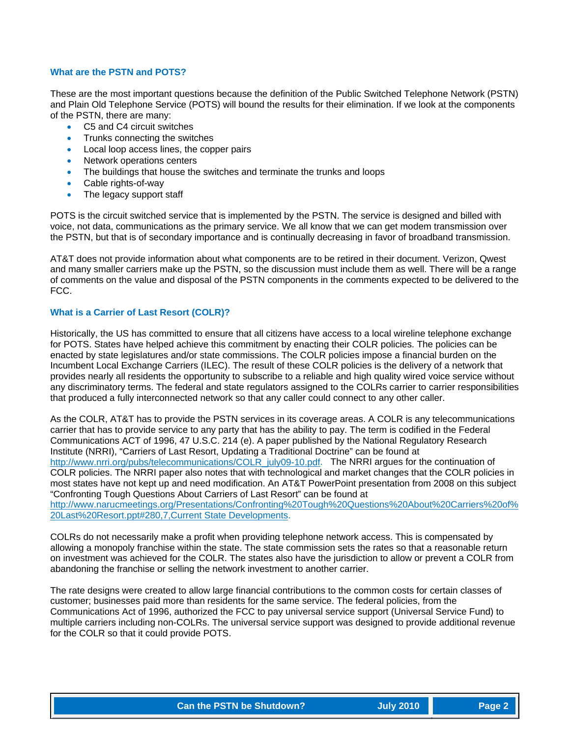## **What are the PSTN and POTS?**

These are the most important questions because the definition of the Public Switched Telephone Network (PSTN) and Plain Old Telephone Service (POTS) will bound the results for their elimination. If we look at the components of the PSTN, there are many:

- C5 and C4 circuit switches
- Trunks connecting the switches
- Local loop access lines, the copper pairs
- Network operations centers
- The buildings that house the switches and terminate the trunks and loops
- Cable rights-of-way
- The legacy support staff

POTS is the circuit switched service that is implemented by the PSTN. The service is designed and billed with voice, not data, communications as the primary service. We all know that we can get modem transmission over the PSTN, but that is of secondary importance and is continually decreasing in favor of broadband transmission.

AT&T does not provide information about what components are to be retired in their document. Verizon, Qwest and many smaller carriers make up the PSTN, so the discussion must include them as well. There will be a range of comments on the value and disposal of the PSTN components in the comments expected to be delivered to the FCC.

#### **What is a Carrier of Last Resort (COLR)?**

Historically, the US has committed to ensure that all citizens have access to a local wireline telephone exchange for POTS. States have helped achieve this commitment by enacting their COLR policies. The policies can be enacted by state legislatures and/or state commissions. The COLR policies impose a financial burden on the Incumbent Local Exchange Carriers (ILEC). The result of these COLR policies is the delivery of a network that provides nearly all residents the opportunity to subscribe to a reliable and high quality wired voice service without any discriminatory terms. The federal and state regulators assigned to the COLRs carrier to carrier responsibilities that produced a fully interconnected network so that any caller could connect to any other caller.

As the COLR, AT&T has to provide the PSTN services in its coverage areas. A COLR is any telecommunications carrier that has to provide service to any party that has the ability to pay. The term is codified in the Federal Communications ACT of 1996, 47 U.S.C. 214 (e). A paper published by the National Regulatory Research Institute (NRRI), "Carriers of Last Resort, Updating a Traditional Doctrine" can be found at [http://www.nrri.org/pubs/telecommunications/COLR\\_july09-10.pdf](http://www.nrri.org/pubs/telecommunications/COLR_july09-10.pdf). The NRRI argues for the continuation of COLR policies. The NRRI paper also notes that with technological and market changes that the COLR policies in most states have not kept up and need modification. An AT&T PowerPoint presentation from 2008 on this subject "Confronting Tough Questions About Carriers of Last Resort" can be found at [http://www.narucmeetings.org/Presentations/Confronting%20Tough%20Questions%20About%20Carriers%20of%](http://www.narucmeetings.org/Presentations/Confronting%20Tough%20Questions%20About%20Carriers%20of%20Last%20Resort.ppt%23280,7,Current%20State%20Developments) [20Last%20Resort.ppt#280,7,Current State Developments.](http://www.narucmeetings.org/Presentations/Confronting%20Tough%20Questions%20About%20Carriers%20of%20Last%20Resort.ppt%23280,7,Current%20State%20Developments)

COLRs do not necessarily make a profit when providing telephone network access. This is compensated by allowing a monopoly franchise within the state. The state commission sets the rates so that a reasonable return on investment was achieved for the COLR. The states also have the jurisdiction to allow or prevent a COLR from abandoning the franchise or selling the network investment to another carrier.

The rate designs were created to allow large financial contributions to the common costs for certain classes of customer; businesses paid more than residents for the same service. The federal policies, from the Communications Act of 1996, authorized the FCC to pay universal service support (Universal Service Fund) to multiple carriers including non-COLRs. The universal service support was designed to provide additional revenue for the COLR so that it could provide POTS.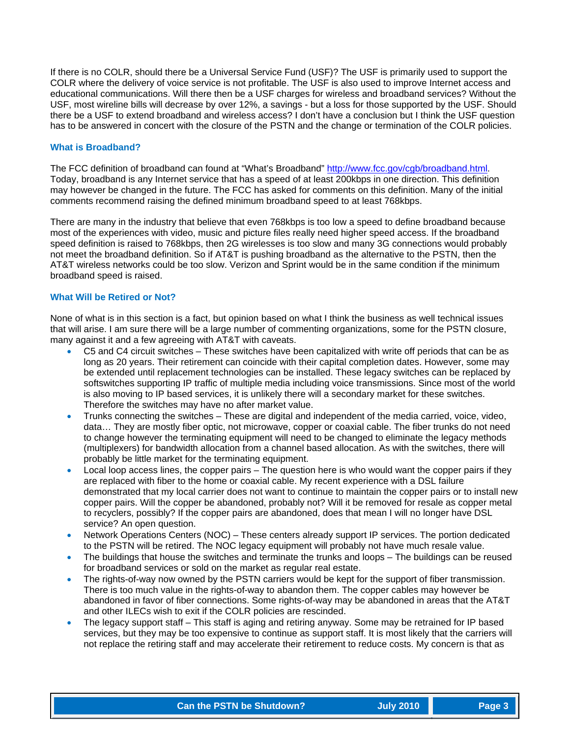If there is no COLR, should there be a Universal Service Fund (USF)? The USF is primarily used to support the COLR where the delivery of voice service is not profitable. The USF is also used to improve Internet access and educational communications. Will there then be a USF charges for wireless and broadband services? Without the USF, most wireline bills will decrease by over 12%, a savings - but a loss for those supported by the USF. Should there be a USF to extend broadband and wireless access? I don't have a conclusion but I think the USF question has to be answered in concert with the closure of the PSTN and the change or termination of the COLR policies.

#### **What is Broadband?**

The FCC definition of broadband can found at "What's Broadband" [http://www.fcc.gov/cgb/broadband.html.](http://www.fcc.gov/cgb/broadband.html) Today, broadband is any Internet service that has a speed of at least 200kbps in one direction. This definition may however be changed in the future. The FCC has asked for comments on this definition. Many of the initial comments recommend raising the defined minimum broadband speed to at least 768kbps.

There are many in the industry that believe that even 768kbps is too low a speed to define broadband because most of the experiences with video, music and picture files really need higher speed access. If the broadband speed definition is raised to 768kbps, then 2G wirelesses is too slow and many 3G connections would probably not meet the broadband definition. So if AT&T is pushing broadband as the alternative to the PSTN, then the AT&T wireless networks could be too slow. Verizon and Sprint would be in the same condition if the minimum broadband speed is raised.

#### **What Will be Retired or Not?**

None of what is in this section is a fact, but opinion based on what I think the business as well technical issues that will arise. I am sure there will be a large number of commenting organizations, some for the PSTN closure, many against it and a few agreeing with AT&T with caveats.

- C5 and C4 circuit switches These switches have been capitalized with write off periods that can be as long as 20 years. Their retirement can coincide with their capital completion dates. However, some may be extended until replacement technologies can be installed. These legacy switches can be replaced by softswitches supporting IP traffic of multiple media including voice transmissions. Since most of the world is also moving to IP based services, it is unlikely there will a secondary market for these switches. Therefore the switches may have no after market value.
- Trunks connecting the switches These are digital and independent of the media carried, voice, video, data… They are mostly fiber optic, not microwave, copper or coaxial cable. The fiber trunks do not need to change however the terminating equipment will need to be changed to eliminate the legacy methods (multiplexers) for bandwidth allocation from a channel based allocation. As with the switches, there will probably be little market for the terminating equipment.
- Local loop access lines, the copper pairs The question here is who would want the copper pairs if they are replaced with fiber to the home or coaxial cable. My recent experience with a DSL failure demonstrated that my local carrier does not want to continue to maintain the copper pairs or to install new copper pairs. Will the copper be abandoned, probably not? Will it be removed for resale as copper metal to recyclers, possibly? If the copper pairs are abandoned, does that mean I will no longer have DSL service? An open question.
- Network Operations Centers (NOC) These centers already support IP services. The portion dedicated to the PSTN will be retired. The NOC legacy equipment will probably not have much resale value.
- The buildings that house the switches and terminate the trunks and loops The buildings can be reused for broadband services or sold on the market as regular real estate.
- The rights-of-way now owned by the PSTN carriers would be kept for the support of fiber transmission. There is too much value in the rights-of-way to abandon them. The copper cables may however be abandoned in favor of fiber connections. Some rights-of-way may be abandoned in areas that the AT&T and other ILECs wish to exit if the COLR policies are rescinded.
- The legacy support staff This staff is aging and retiring anyway. Some may be retrained for IP based services, but they may be too expensive to continue as support staff. It is most likely that the carriers will not replace the retiring staff and may accelerate their retirement to reduce costs. My concern is that as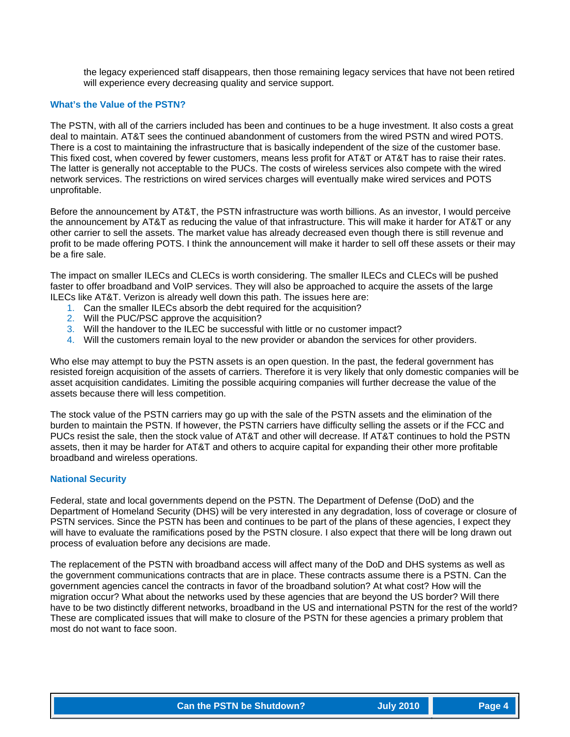the legacy experienced staff disappears, then those remaining legacy services that have not been retired will experience every decreasing quality and service support.

#### **What's the Value of the PSTN?**

The PSTN, with all of the carriers included has been and continues to be a huge investment. It also costs a great deal to maintain. AT&T sees the continued abandonment of customers from the wired PSTN and wired POTS. There is a cost to maintaining the infrastructure that is basically independent of the size of the customer base. This fixed cost, when covered by fewer customers, means less profit for AT&T or AT&T has to raise their rates. The latter is generally not acceptable to the PUCs. The costs of wireless services also compete with the wired network services. The restrictions on wired services charges will eventually make wired services and POTS unprofitable.

Before the announcement by AT&T, the PSTN infrastructure was worth billions. As an investor, I would perceive the announcement by AT&T as reducing the value of that infrastructure. This will make it harder for AT&T or any other carrier to sell the assets. The market value has already decreased even though there is still revenue and profit to be made offering POTS. I think the announcement will make it harder to sell off these assets or their may be a fire sale.

The impact on smaller ILECs and CLECs is worth considering. The smaller ILECs and CLECs will be pushed faster to offer broadband and VoIP services. They will also be approached to acquire the assets of the large ILECs like AT&T. Verizon is already well down this path. The issues here are:

- 1. Can the smaller ILECs absorb the debt required for the acquisition?
- 2. Will the PUC/PSC approve the acquisition?
- 3. Will the handover to the ILEC be successful with little or no customer impact?
- 4. Will the customers remain loyal to the new provider or abandon the services for other providers.

Who else may attempt to buy the PSTN assets is an open question. In the past, the federal government has resisted foreign acquisition of the assets of carriers. Therefore it is very likely that only domestic companies will be asset acquisition candidates. Limiting the possible acquiring companies will further decrease the value of the assets because there will less competition.

The stock value of the PSTN carriers may go up with the sale of the PSTN assets and the elimination of the burden to maintain the PSTN. If however, the PSTN carriers have difficulty selling the assets or if the FCC and PUCs resist the sale, then the stock value of AT&T and other will decrease. If AT&T continues to hold the PSTN assets, then it may be harder for AT&T and others to acquire capital for expanding their other more profitable broadband and wireless operations.

#### **National Security**

Federal, state and local governments depend on the PSTN. The Department of Defense (DoD) and the Department of Homeland Security (DHS) will be very interested in any degradation, loss of coverage or closure of PSTN services. Since the PSTN has been and continues to be part of the plans of these agencies, I expect they will have to evaluate the ramifications posed by the PSTN closure. I also expect that there will be long drawn out process of evaluation before any decisions are made.

The replacement of the PSTN with broadband access will affect many of the DoD and DHS systems as well as the government communications contracts that are in place. These contracts assume there is a PSTN. Can the government agencies cancel the contracts in favor of the broadband solution? At what cost? How will the migration occur? What about the networks used by these agencies that are beyond the US border? Will there have to be two distinctly different networks, broadband in the US and international PSTN for the rest of the world? These are complicated issues that will make to closure of the PSTN for these agencies a primary problem that most do not want to face soon.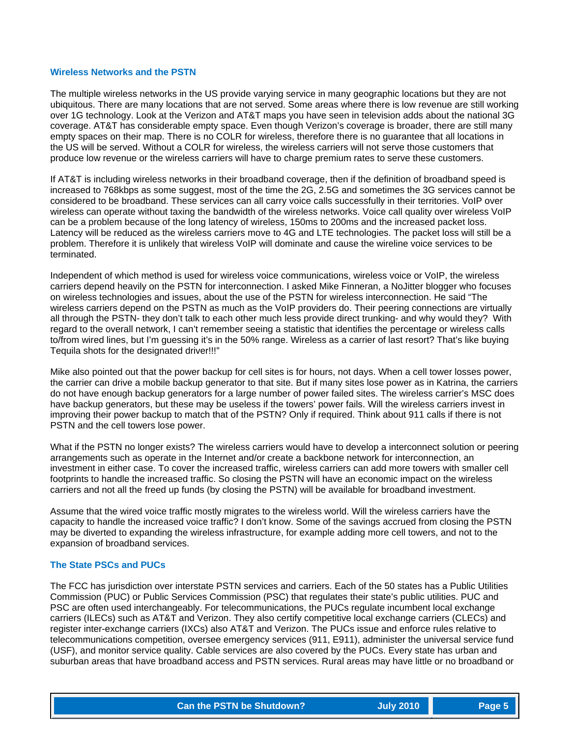#### **Wireless Networks and the PSTN**

The multiple wireless networks in the US provide varying service in many geographic locations but they are not ubiquitous. There are many locations that are not served. Some areas where there is low revenue are still working over 1G technology. Look at the Verizon and AT&T maps you have seen in television adds about the national 3G coverage. AT&T has considerable empty space. Even though Verizon's coverage is broader, there are still many empty spaces on their map. There is no COLR for wireless, therefore there is no guarantee that all locations in the US will be served. Without a COLR for wireless, the wireless carriers will not serve those customers that produce low revenue or the wireless carriers will have to charge premium rates to serve these customers.

If AT&T is including wireless networks in their broadband coverage, then if the definition of broadband speed is increased to 768kbps as some suggest, most of the time the 2G, 2.5G and sometimes the 3G services cannot be considered to be broadband. These services can all carry voice calls successfully in their territories. VoIP over wireless can operate without taxing the bandwidth of the wireless networks. Voice call quality over wireless VoIP can be a problem because of the long latency of wireless, 150ms to 200ms and the increased packet loss. Latency will be reduced as the wireless carriers move to 4G and LTE technologies. The packet loss will still be a problem. Therefore it is unlikely that wireless VoIP will dominate and cause the wireline voice services to be terminated.

Independent of which method is used for wireless voice communications, wireless voice or VoIP, the wireless carriers depend heavily on the PSTN for interconnection. I asked Mike Finneran, a NoJitter blogger who focuses on wireless technologies and issues, about the use of the PSTN for wireless interconnection. He said "The wireless carriers depend on the PSTN as much as the VoIP providers do. Their peering connections are virtually all through the PSTN- they don't talk to each other much less provide direct trunking- and why would they? With regard to the overall network, I can't remember seeing a statistic that identifies the percentage or wireless calls to/from wired lines, but I'm guessing it's in the 50% range. Wireless as a carrier of last resort? That's like buying Tequila shots for the designated driver!!!"

Mike also pointed out that the power backup for cell sites is for hours, not days. When a cell tower losses power, the carrier can drive a mobile backup generator to that site. But if many sites lose power as in Katrina, the carriers do not have enough backup generators for a large number of power failed sites. The wireless carrier's MSC does have backup generators, but these may be useless if the towers' power fails. Will the wireless carriers invest in improving their power backup to match that of the PSTN? Only if required. Think about 911 calls if there is not PSTN and the cell towers lose power.

What if the PSTN no longer exists? The wireless carriers would have to develop a interconnect solution or peering arrangements such as operate in the Internet and/or create a backbone network for interconnection, an investment in either case. To cover the increased traffic, wireless carriers can add more towers with smaller cell footprints to handle the increased traffic. So closing the PSTN will have an economic impact on the wireless carriers and not all the freed up funds (by closing the PSTN) will be available for broadband investment.

Assume that the wired voice traffic mostly migrates to the wireless world. Will the wireless carriers have the capacity to handle the increased voice traffic? I don't know. Some of the savings accrued from closing the PSTN may be diverted to expanding the wireless infrastructure, for example adding more cell towers, and not to the expansion of broadband services.

#### **The State PSCs and PUCs**

The FCC has jurisdiction over interstate PSTN services and carriers. Each of the 50 states has a Public Utilities Commission (PUC) or Public Services Commission (PSC) that regulates their state's public utilities. PUC and PSC are often used interchangeably. For telecommunications, the PUCs regulate incumbent local exchange carriers (ILECs) such as AT&T and Verizon. They also certify competitive local exchange carriers (CLECs) and register inter-exchange carriers (IXCs) also AT&T and Verizon. The PUCs issue and enforce rules relative to telecommunications competition, oversee emergency services (911, E911), administer the universal service fund (USF), and monitor service quality. Cable services are also covered by the PUCs. Every state has urban and suburban areas that have broadband access and PSTN services. Rural areas may have little or no broadband or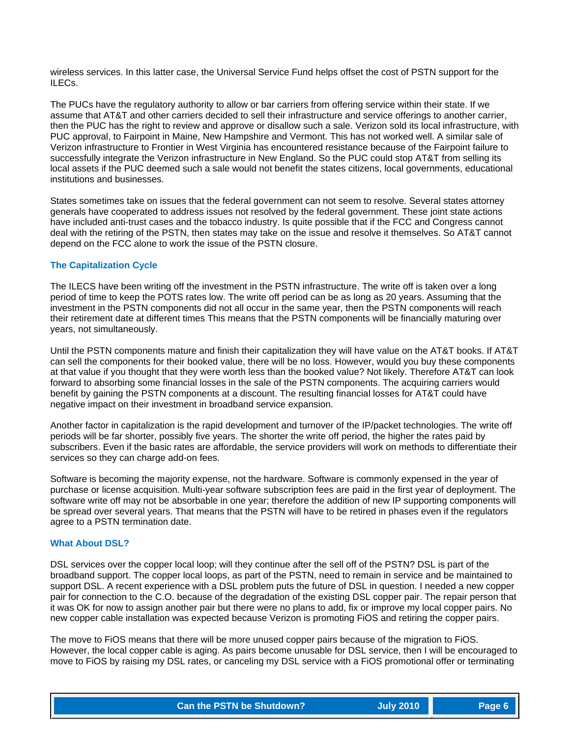wireless services. In this latter case, the Universal Service Fund helps offset the cost of PSTN support for the ILECs.

The PUCs have the regulatory authority to allow or bar carriers from offering service within their state. If we assume that AT&T and other carriers decided to sell their infrastructure and service offerings to another carrier, then the PUC has the right to review and approve or disallow such a sale. Verizon sold its local infrastructure, with PUC approval, to Fairpoint in Maine, New Hampshire and Vermont. This has not worked well. A similar sale of Verizon infrastructure to Frontier in West Virginia has encountered resistance because of the Fairpoint failure to successfully integrate the Verizon infrastructure in New England. So the PUC could stop AT&T from selling its local assets if the PUC deemed such a sale would not benefit the states citizens, local governments, educational institutions and businesses.

States sometimes take on issues that the federal government can not seem to resolve. Several states attorney generals have cooperated to address issues not resolved by the federal government. These joint state actions have included anti-trust cases and the tobacco industry. Is quite possible that if the FCC and Congress cannot deal with the retiring of the PSTN, then states may take on the issue and resolve it themselves. So AT&T cannot depend on the FCC alone to work the issue of the PSTN closure.

#### **The Capitalization Cycle**

The ILECS have been writing off the investment in the PSTN infrastructure. The write off is taken over a long period of time to keep the POTS rates low. The write off period can be as long as 20 years. Assuming that the investment in the PSTN components did not all occur in the same year, then the PSTN components will reach their retirement date at different times This means that the PSTN components will be financially maturing over years, not simultaneously.

Until the PSTN components mature and finish their capitalization they will have value on the AT&T books. If AT&T can sell the components for their booked value, there will be no loss. However, would you buy these components at that value if you thought that they were worth less than the booked value? Not likely. Therefore AT&T can look forward to absorbing some financial losses in the sale of the PSTN components. The acquiring carriers would benefit by gaining the PSTN components at a discount. The resulting financial losses for AT&T could have negative impact on their investment in broadband service expansion.

Another factor in capitalization is the rapid development and turnover of the IP/packet technologies. The write off periods will be far shorter, possibly five years. The shorter the write off period, the higher the rates paid by subscribers. Even if the basic rates are affordable, the service providers will work on methods to differentiate their services so they can charge add-on fees.

Software is becoming the majority expense, not the hardware. Software is commonly expensed in the year of purchase or license acquisition. Multi-year software subscription fees are paid in the first year of deployment. The software write off may not be absorbable in one year; therefore the addition of new IP supporting components will be spread over several years. That means that the PSTN will have to be retired in phases even if the regulators agree to a PSTN termination date.

#### **What About DSL?**

DSL services over the copper local loop; will they continue after the sell off of the PSTN? DSL is part of the broadband support. The copper local loops, as part of the PSTN, need to remain in service and be maintained to support DSL. A recent experience with a DSL problem puts the future of DSL in question. I needed a new copper pair for connection to the C.O. because of the degradation of the existing DSL copper pair. The repair person that it was OK for now to assign another pair but there were no plans to add, fix or improve my local copper pairs. No new copper cable installation was expected because Verizon is promoting FiOS and retiring the copper pairs.

The move to FiOS means that there will be more unused copper pairs because of the migration to FiOS. However, the local copper cable is aging. As pairs become unusable for DSL service, then I will be encouraged to move to FiOS by raising my DSL rates, or canceling my DSL service with a FiOS promotional offer or terminating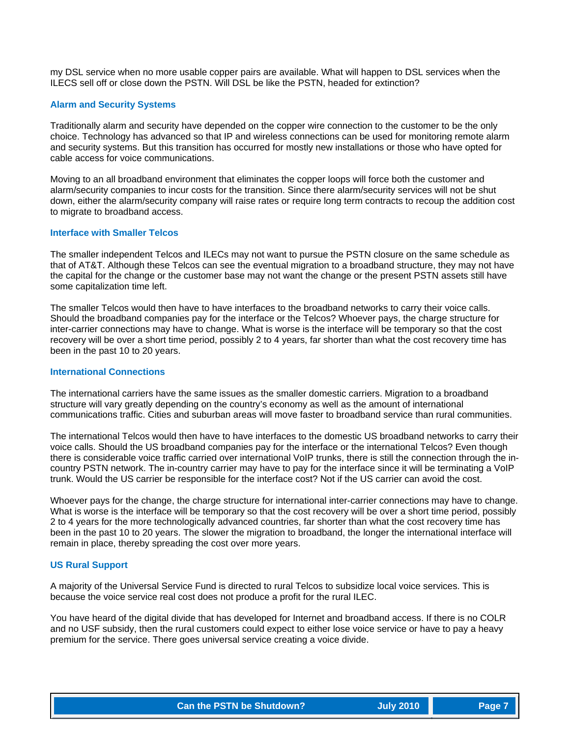my DSL service when no more usable copper pairs are available. What will happen to DSL services when the ILECS sell off or close down the PSTN. Will DSL be like the PSTN, headed for extinction?

#### **Alarm and Security Systems**

Traditionally alarm and security have depended on the copper wire connection to the customer to be the only choice. Technology has advanced so that IP and wireless connections can be used for monitoring remote alarm and security systems. But this transition has occurred for mostly new installations or those who have opted for cable access for voice communications.

Moving to an all broadband environment that eliminates the copper loops will force both the customer and alarm/security companies to incur costs for the transition. Since there alarm/security services will not be shut down, either the alarm/security company will raise rates or require long term contracts to recoup the addition cost to migrate to broadband access.

# **Interface with Smaller Telcos**

The smaller independent Telcos and ILECs may not want to pursue the PSTN closure on the same schedule as that of AT&T. Although these Telcos can see the eventual migration to a broadband structure, they may not have the capital for the change or the customer base may not want the change or the present PSTN assets still have some capitalization time left.

The smaller Telcos would then have to have interfaces to the broadband networks to carry their voice calls. Should the broadband companies pay for the interface or the Telcos? Whoever pays, the charge structure for inter-carrier connections may have to change. What is worse is the interface will be temporary so that the cost recovery will be over a short time period, possibly 2 to 4 years, far shorter than what the cost recovery time has been in the past 10 to 20 years.

#### **International Connections**

The international carriers have the same issues as the smaller domestic carriers. Migration to a broadband structure will vary greatly depending on the country's economy as well as the amount of international communications traffic. Cities and suburban areas will move faster to broadband service than rural communities.

The international Telcos would then have to have interfaces to the domestic US broadband networks to carry their voice calls. Should the US broadband companies pay for the interface or the international Telcos? Even though there is considerable voice traffic carried over international VoIP trunks, there is still the connection through the incountry PSTN network. The in-country carrier may have to pay for the interface since it will be terminating a VoIP trunk. Would the US carrier be responsible for the interface cost? Not if the US carrier can avoid the cost.

Whoever pays for the change, the charge structure for international inter-carrier connections may have to change. What is worse is the interface will be temporary so that the cost recovery will be over a short time period, possibly 2 to 4 years for the more technologically advanced countries, far shorter than what the cost recovery time has been in the past 10 to 20 years. The slower the migration to broadband, the longer the international interface will remain in place, thereby spreading the cost over more years.

#### **US Rural Support**

A majority of the Universal Service Fund is directed to rural Telcos to subsidize local voice services. This is because the voice service real cost does not produce a profit for the rural ILEC.

You have heard of the digital divide that has developed for Internet and broadband access. If there is no COLR and no USF subsidy, then the rural customers could expect to either lose voice service or have to pay a heavy premium for the service. There goes universal service creating a voice divide.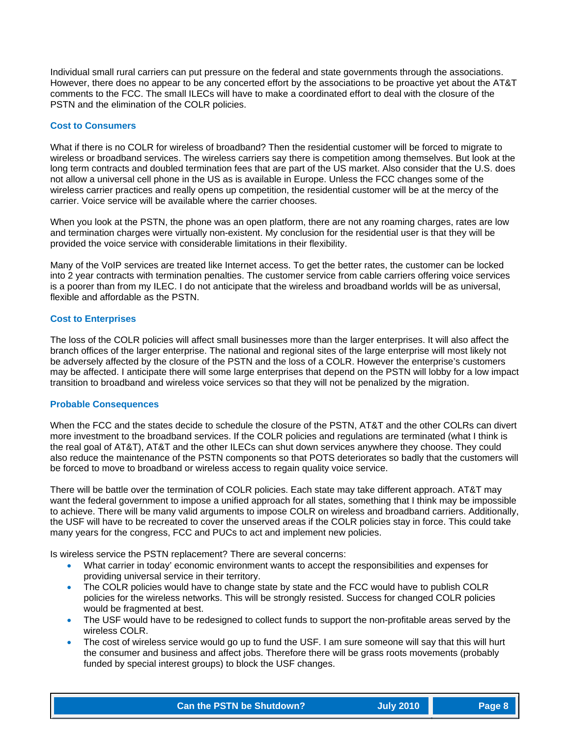Individual small rural carriers can put pressure on the federal and state governments through the associations. However, there does no appear to be any concerted effort by the associations to be proactive yet about the AT&T comments to the FCC. The small ILECs will have to make a coordinated effort to deal with the closure of the PSTN and the elimination of the COLR policies.

#### **Cost to Consumers**

What if there is no COLR for wireless of broadband? Then the residential customer will be forced to migrate to wireless or broadband services. The wireless carriers say there is competition among themselves. But look at the long term contracts and doubled termination fees that are part of the US market. Also consider that the U.S. does not allow a universal cell phone in the US as is available in Europe. Unless the FCC changes some of the wireless carrier practices and really opens up competition, the residential customer will be at the mercy of the carrier. Voice service will be available where the carrier chooses.

When you look at the PSTN, the phone was an open platform, there are not any roaming charges, rates are low and termination charges were virtually non-existent. My conclusion for the residential user is that they will be provided the voice service with considerable limitations in their flexibility.

Many of the VoIP services are treated like Internet access. To get the better rates, the customer can be locked into 2 year contracts with termination penalties. The customer service from cable carriers offering voice services is a poorer than from my ILEC. I do not anticipate that the wireless and broadband worlds will be as universal, flexible and affordable as the PSTN.

#### **Cost to Enterprises**

The loss of the COLR policies will affect small businesses more than the larger enterprises. It will also affect the branch offices of the larger enterprise. The national and regional sites of the large enterprise will most likely not be adversely affected by the closure of the PSTN and the loss of a COLR. However the enterprise's customers may be affected. I anticipate there will some large enterprises that depend on the PSTN will lobby for a low impact transition to broadband and wireless voice services so that they will not be penalized by the migration.

#### **Probable Consequences**

When the FCC and the states decide to schedule the closure of the PSTN, AT&T and the other COLRs can divert more investment to the broadband services. If the COLR policies and regulations are terminated (what I think is the real goal of AT&T), AT&T and the other ILECs can shut down services anywhere they choose. They could also reduce the maintenance of the PSTN components so that POTS deteriorates so badly that the customers will be forced to move to broadband or wireless access to regain quality voice service.

There will be battle over the termination of COLR policies. Each state may take different approach. AT&T may want the federal government to impose a unified approach for all states, something that I think may be impossible to achieve. There will be many valid arguments to impose COLR on wireless and broadband carriers. Additionally, the USF will have to be recreated to cover the unserved areas if the COLR policies stay in force. This could take many years for the congress, FCC and PUCs to act and implement new policies.

Is wireless service the PSTN replacement? There are several concerns:

- What carrier in today' economic environment wants to accept the responsibilities and expenses for providing universal service in their territory.
- The COLR policies would have to change state by state and the FCC would have to publish COLR policies for the wireless networks. This will be strongly resisted. Success for changed COLR policies would be fragmented at best.
- The USF would have to be redesigned to collect funds to support the non-profitable areas served by the wireless COLR.
- The cost of wireless service would go up to fund the USF. I am sure someone will say that this will hurt the consumer and business and affect jobs. Therefore there will be grass roots movements (probably funded by special interest groups) to block the USF changes.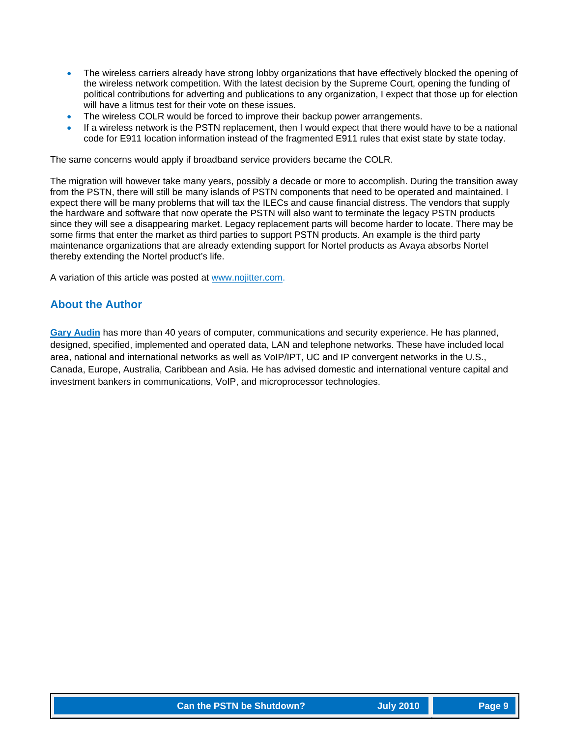- The wireless carriers already have strong lobby organizations that have effectively blocked the opening of the wireless network competition. With the latest decision by the Supreme Court, opening the funding of political contributions for adverting and publications to any organization, I expect that those up for election will have a litmus test for their vote on these issues.
- The wireless COLR would be forced to improve their backup power arrangements.
- If a wireless network is the PSTN replacement, then I would expect that there would have to be a national code for E911 location information instead of the fragmented E911 rules that exist state by state today.

The same concerns would apply if broadband service providers became the COLR.

The migration will however take many years, possibly a decade or more to accomplish. During the transition away from the PSTN, there will still be many islands of PSTN components that need to be operated and maintained. I expect there will be many problems that will tax the ILECs and cause financial distress. The vendors that supply the hardware and software that now operate the PSTN will also want to terminate the legacy PSTN products since they will see a disappearing market. Legacy replacement parts will become harder to locate. There may be some firms that enter the market as third parties to support PSTN products. An example is the third party maintenance organizations that are already extending support for Nortel products as Avaya absorbs Nortel thereby extending the Nortel product's life.

A variation of this article was posted at www.nojitter.com.

# **About the Author**

**[Gary Audin](mailto:delphi-inc@att.net?subject=Feedback%20on%20Can%20the%20PSTN%20be%20Shutdown%20article)** has more than 40 years of computer, communications and security experience. He has planned, designed, specified, implemented and operated data, LAN and telephone networks. These have included local area, national and international networks as well as VoIP/IPT, UC and IP convergent networks in the U.S., Canada, Europe, Australia, Caribbean and Asia. He has advised domestic and international venture capital and investment bankers in communications, VoIP, and microprocessor technologies.